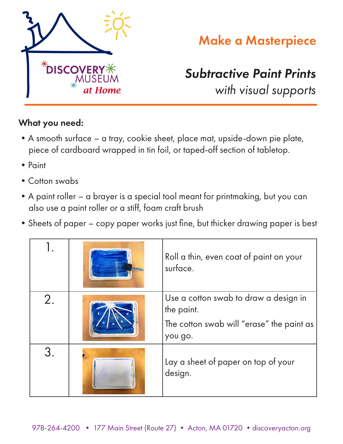

## Make a Masterpiece

## *Subtractive Paint Prints*

*with visual supports*

## What you need:

- •A smooth surface a tray, cookie sheet, place mat, upside-down pie plate, piece of cardboard wrapped in tin foil, or taped-off section of tabletop.
- Paint
- Cotton swabs
- •A paint roller a brayer is a special tool meant for printmaking, but you can also use a paint roller or a stiff, foam craft brush
- •Sheets of paper copy paper works just fine, but thicker drawing paper is best

|    | Roll a thin, even coat of paint on your<br>surface.                                                         |
|----|-------------------------------------------------------------------------------------------------------------|
| 2. | Use a cotton swab to draw a design in<br>the paint.<br>The cotton swab will "erase" the paint as<br>you go. |
| 3. | Lay a sheet of paper on top of your<br>design.                                                              |